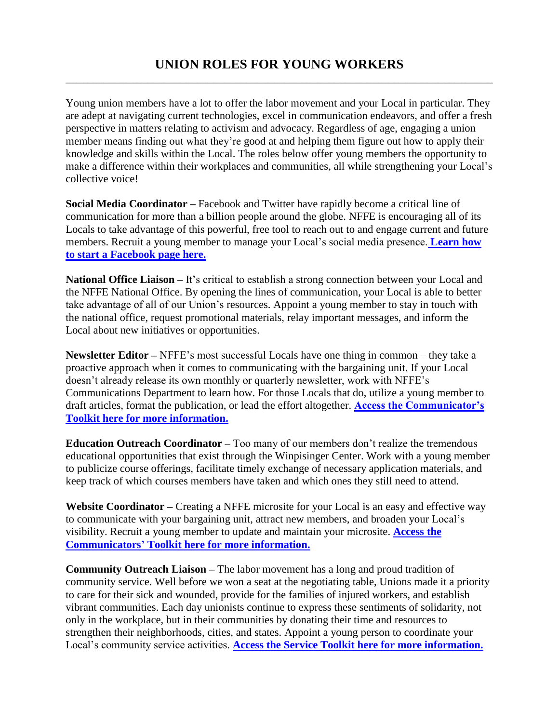Young union members have a lot to offer the labor movement and your Local in particular. They are adept at navigating current technologies, excel in communication endeavors, and offer a fresh perspective in matters relating to activism and advocacy. Regardless of age, engaging a union member means finding out what they're good at and helping them figure out how to apply their knowledge and skills within the Local. The roles below offer young members the opportunity to make a difference within their workplaces and communities, all while strengthening your Local's collective voice!

**Social Media Coordinator –** Facebook and Twitter have rapidly become a critical line of communication for more than a billion people around the globe. NFFE is encouraging all of its Locals to take advantage of this powerful, free tool to reach out to and engage current and future members. Recruit a young member to manage your Local's social media presence. **[Learn how](http://www.nffe.org/ht/a/GetDocumentAction/i/64424)  [to start a Facebook page here.](http://www.nffe.org/ht/a/GetDocumentAction/i/64424)**

**National Office Liaison – It's critical to establish a strong connection between your Local and** the NFFE National Office. By opening the lines of communication, your Local is able to better take advantage of all of our Union's resources. Appoint a young member to stay in touch with the national office, request promotional materials, relay important messages, and inform the Local about new initiatives or opportunities.

**Newsletter Editor –** NFFE's most successful Locals have one thing in common – they take a proactive approach when it comes to communicating with the bargaining unit. If your Local doesn't already release its own monthly or quarterly newsletter, work with NFFE's Communications Department to learn how. For those Locals that do, utilize a young member to draft articles, format the publication, or lead the effort altogether. **[Access the Communicator's](http://www.nffe.org/ht/d/sp/i/33074/pid/33074)  [Toolkit here for more information.](http://www.nffe.org/ht/d/sp/i/33074/pid/33074)**

**Education Outreach Coordinator –** Too many of our members don't realize the tremendous educational opportunities that exist through the Winpisinger Center. Work with a young member to publicize course offerings, facilitate timely exchange of necessary application materials, and keep track of which courses members have taken and which ones they still need to attend.

**Website Coordinator –** Creating a NFFE microsite for your Local is an easy and effective way to communicate with your bargaining unit, attract new members, and broaden your Local's visibility. Recruit a young member to update and maintain your microsite. **[Access the](http://www.nffe.org/ht/d/sp/i/33074/pid/33074)  Communicators' [Toolkit here for more information.](http://www.nffe.org/ht/d/sp/i/33074/pid/33074)**

**Community Outreach Liaison –** The labor movement has a long and proud tradition of community service. Well before we won a seat at the negotiating table, Unions made it a priority to care for their sick and wounded, provide for the families of injured workers, and establish vibrant communities. Each day unionists continue to express these sentiments of solidarity, not only in the workplace, but in their communities by donating their time and resources to strengthen their neighborhoods, cities, and states. Appoint a young person to coordinate your Local's community service activities. **[Access the Service Toolkit here for more information.](http://www.nffe.org/ht/d/sp/i/34682/pid/34682)**